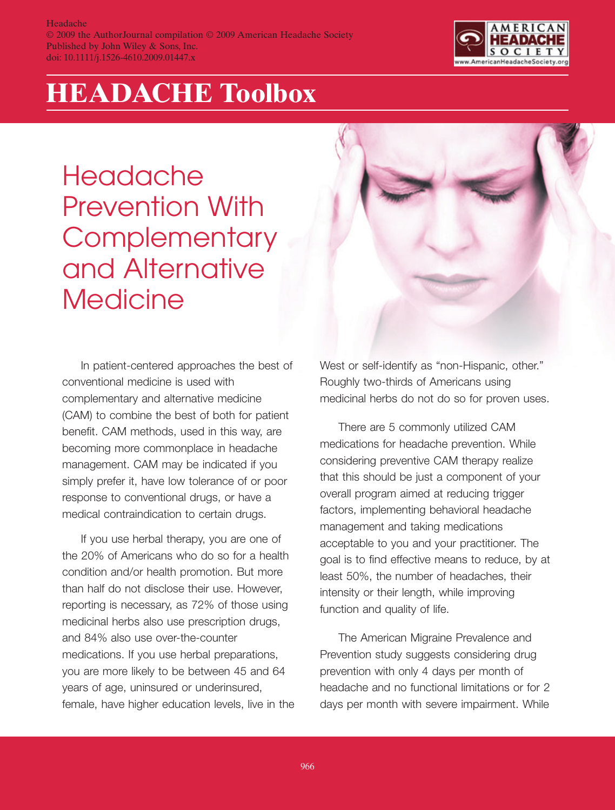

# **HEADACHE Toolbox**

Headache Prevention With **Complementary** and Alternative **Medicine** 

In patient-centered approaches the best of conventional medicine is used with complementary and alternative medicine (CAM) to combine the best of both for patient benefit. CAM methods, used in this way, are becoming more commonplace in headache management. CAM may be indicated if you simply prefer it, have low tolerance of or poor response to conventional drugs, or have a medical contraindication to certain drugs.

If you use herbal therapy, you are one of the 20% of Americans who do so for a health condition and/or health promotion. But more than half do not disclose their use. However, reporting is necessary, as 72% of those using medicinal herbs also use prescription drugs, and 84% also use over-the-counter medications. If you use herbal preparations, you are more likely to be between 45 and 64 years of age, uninsured or underinsured, female, have higher education levels, live in the West or self-identify as "non-Hispanic, other." Roughly two-thirds of Americans using medicinal herbs do not do so for proven uses.

There are 5 commonly utilized CAM medications for headache prevention. While considering preventive CAM therapy realize that this should be just a component of your overall program aimed at reducing trigger factors, implementing behavioral headache management and taking medications acceptable to you and your practitioner. The goal is to find effective means to reduce, by at least 50%, the number of headaches, their intensity or their length, while improving function and quality of life.

The American Migraine Prevalence and Prevention study suggests considering drug prevention with only 4 days per month of headache and no functional limitations or for 2 days per month with severe impairment. While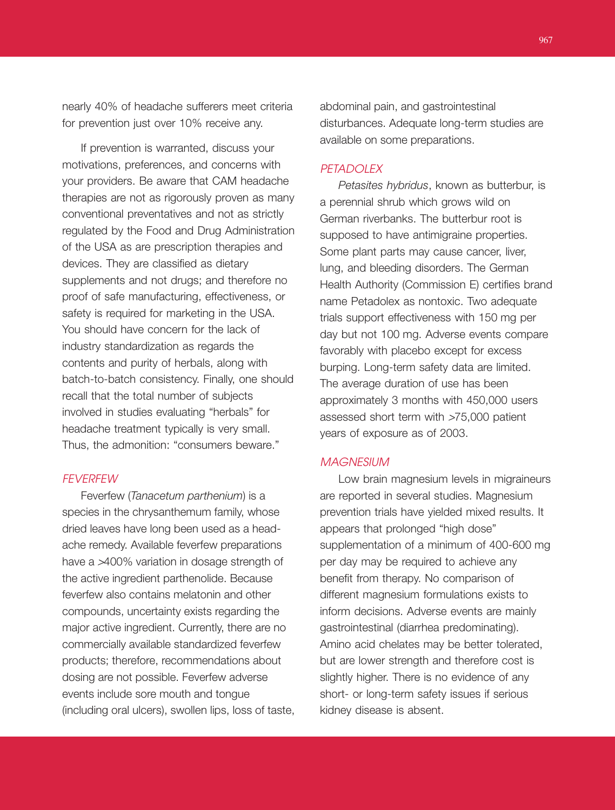nearly 40% of headache sufferers meet criteria for prevention just over 10% receive any.

If prevention is warranted, discuss your motivations, preferences, and concerns with your providers. Be aware that CAM headache therapies are not as rigorously proven as many conventional preventatives and not as strictly regulated by the Food and Drug Administration of the USA as are prescription therapies and devices. They are classified as dietary supplements and not drugs; and therefore no proof of safe manufacturing, effectiveness, or safety is required for marketing in the USA. You should have concern for the lack of industry standardization as regards the contents and purity of herbals, along with batch-to-batch consistency. Finally, one should recall that the total number of subjects involved in studies evaluating "herbals" for headache treatment typically is very small. Thus, the admonition: "consumers beware."

### *FEVERFEW*

Feverfew (*Tanacetum parthenium*) is a species in the chrysanthemum family, whose dried leaves have long been used as a headache remedy. Available feverfew preparations have a >400% variation in dosage strength of the active ingredient parthenolide. Because feverfew also contains melatonin and other compounds, uncertainty exists regarding the major active ingredient. Currently, there are no commercially available standardized feverfew products; therefore, recommendations about dosing are not possible. Feverfew adverse events include sore mouth and tongue (including oral ulcers), swollen lips, loss of taste, abdominal pain, and gastrointestinal disturbances. Adequate long-term studies are available on some preparations.

#### *PETADOLEX*

*Petasites hybridus*, known as butterbur, is a perennial shrub which grows wild on German riverbanks. The butterbur root is supposed to have antimigraine properties. Some plant parts may cause cancer, liver, lung, and bleeding disorders. The German Health Authority (Commission E) certifies brand name Petadolex as nontoxic. Two adequate trials support effectiveness with 150 mg per day but not 100 mg. Adverse events compare favorably with placebo except for excess burping. Long-term safety data are limited. The average duration of use has been approximately 3 months with 450,000 users assessed short term with >75,000 patient years of exposure as of 2003.

#### *MAGNESIUM*

Low brain magnesium levels in migraineurs are reported in several studies. Magnesium prevention trials have yielded mixed results. It appears that prolonged "high dose" supplementation of a minimum of 400-600 mg per day may be required to achieve any benefit from therapy. No comparison of different magnesium formulations exists to inform decisions. Adverse events are mainly gastrointestinal (diarrhea predominating). Amino acid chelates may be better tolerated, but are lower strength and therefore cost is slightly higher. There is no evidence of any short- or long-term safety issues if serious kidney disease is absent.